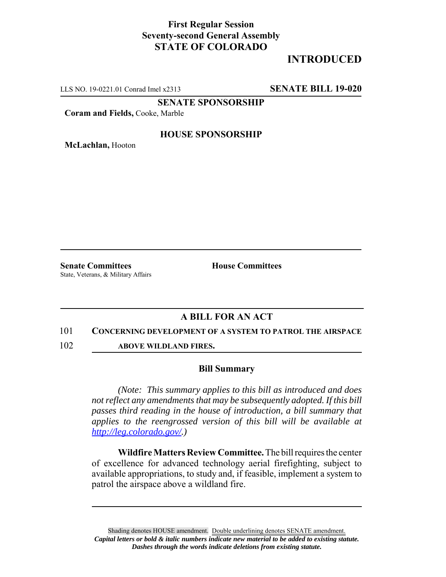## **First Regular Session Seventy-second General Assembly STATE OF COLORADO**

# **INTRODUCED**

LLS NO. 19-0221.01 Conrad Imel x2313 **SENATE BILL 19-020**

**SENATE SPONSORSHIP**

**Coram and Fields,** Cooke, Marble

### **HOUSE SPONSORSHIP**

**McLachlan,** Hooton

**Senate Committees House Committees** State, Veterans, & Military Affairs

### **A BILL FOR AN ACT**

#### 101 **CONCERNING DEVELOPMENT OF A SYSTEM TO PATROL THE AIRSPACE**

102 **ABOVE WILDLAND FIRES.**

#### **Bill Summary**

*(Note: This summary applies to this bill as introduced and does not reflect any amendments that may be subsequently adopted. If this bill passes third reading in the house of introduction, a bill summary that applies to the reengrossed version of this bill will be available at http://leg.colorado.gov/.)*

**Wildfire Matters Review Committee.** The bill requires the center of excellence for advanced technology aerial firefighting, subject to available appropriations, to study and, if feasible, implement a system to patrol the airspace above a wildland fire.

Shading denotes HOUSE amendment. Double underlining denotes SENATE amendment. *Capital letters or bold & italic numbers indicate new material to be added to existing statute. Dashes through the words indicate deletions from existing statute.*